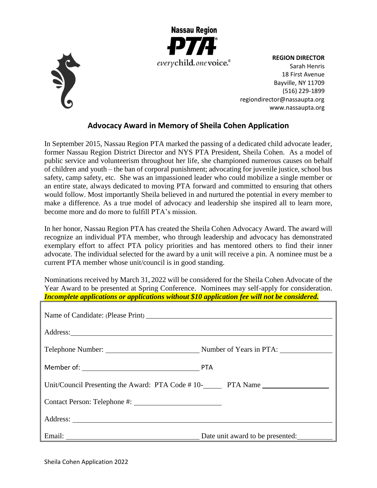



**REGION DIRECTOR** Sarah Henris 18 First Avenue Bayville, NY 11709 (516) 229-1899 [regiondirector@nassaupta.org](mailto:regiondirector@nassaupta.org) [www.nassaupta.org](http://www.nassaupta.org/)

## **Advocacy Award in Memory of Sheila Cohen Application**

In September 2015, Nassau Region PTA marked the passing of a dedicated child advocate leader, former Nassau Region District Director and NYS PTA President, Sheila Cohen. As a model of public service and volunteerism throughout her life, she championed numerous causes on behalf of children and youth – the ban of corporal punishment; advocating for juvenile justice, school bus safety, camp safety, etc. She was an impassioned leader who could mobilize a single member or an entire state, always dedicated to moving PTA forward and committed to ensuring that others would follow. Most importantly Sheila believed in and nurtured the potential in every member to make a difference. As a true model of advocacy and leadership she inspired all to learn more, become more and do more to fulfill PTA's mission.

In her honor, Nassau Region PTA has created the Sheila Cohen Advocacy Award. The award will recognize an individual PTA member, who through leadership and advocacy has demonstrated exemplary effort to affect PTA policy priorities and has mentored others to find their inner advocate. The individual selected for the award by a unit will receive a pin. A nominee must be a current PTA member whose unit/council is in good standing.

Nominations received by March 31, 2022 will be considered for the Sheila Cohen Advocate of the Year Award to be presented at Spring Conference. Nominees may self-apply for consideration. *Incomplete applications or applications without \$10 application fee will not be considered.*

| Unit/Council Presenting the Award: PTA Code # 10-<br>PTA Name |                                  |
|---------------------------------------------------------------|----------------------------------|
|                                                               |                                  |
|                                                               |                                  |
|                                                               | Date unit award to be presented: |